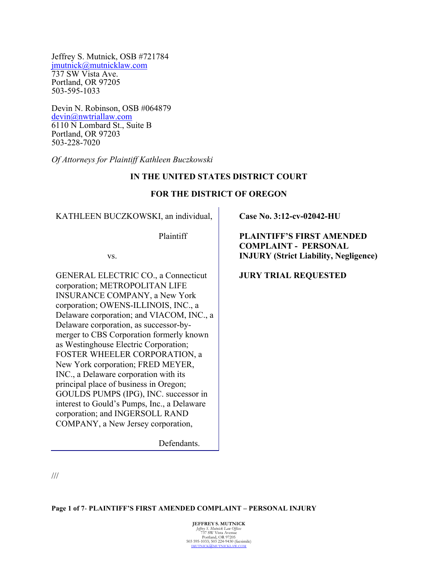Jeffrey S. Mutnick, OSB #721784 jmutnick@mutnicklaw.com 737 SW Vista Ave. Portland, OR 97205 503-595-1033

Devin N. Robinson, OSB #064879 devin@nwtriallaw.com 6110 N Lombard St., Suite B Portland, OR 97203 503-228-7020

*Of Attorneys for Plaintiff Kathleen Buczkowski*

## **IN THE UNITED STATES DISTRICT COURT**

## **FOR THE DISTRICT OF OREGON**

KATHLEEN BUCZKOWSKI, an individual,

Plaintiff

vs.

GENERAL ELECTRIC CO., a Connecticut corporation; METROPOLITAN LIFE INSURANCE COMPANY, a New York corporation; OWENS-ILLINOIS, INC., a Delaware corporation; and VIACOM, INC., a Delaware corporation, as successor-bymerger to CBS Corporation formerly known as Westinghouse Electric Corporation; FOSTER WHEELER CORPORATION, a New York corporation; FRED MEYER, INC., a Delaware corporation with its principal place of business in Oregon; GOULDS PUMPS (IPG), INC. successor in interest to Gould's Pumps, Inc., a Delaware corporation; and INGERSOLL RAND COMPANY, a New Jersey corporation,

Defendants.

**Case No. 3:12-cv-02042-HU**

**PLAINTIFF'S FIRST AMENDED COMPLAINT - PERSONAL INJURY (Strict Liability, Negligence)**

**JURY TRIAL REQUESTED**

///

**Page 1 of 7**- **PLAINTIFF'S FIRST AMENDED COMPLAINT – PERSONAL INJURY**

**JEFFREY S. MUTNICK** *Jeffrey S. Mutnick Law Offices* 737 SW Vista Avenue Portland, OR 97205 503 595-1033; 503 224-9430 (facsimile) **TI'NICKLAW.COM**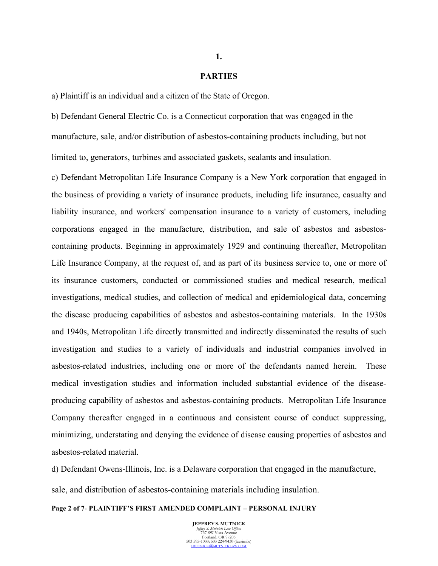### **PARTIES**

a) Plaintiff is an individual and a citizen of the State of Oregon.

b) Defendant General Electric Co. is a Connecticut corporation that was engaged in the manufacture, sale, and/or distribution of asbestos-containing products including, but not limited to, generators, turbines and associated gaskets, sealants and insulation.

c) Defendant Metropolitan Life Insurance Company is a New York corporation that engaged in the business of providing a variety of insurance products, including life insurance, casualty and liability insurance, and workers' compensation insurance to a variety of customers, including corporations engaged in the manufacture, distribution, and sale of asbestos and asbestoscontaining products. Beginning in approximately 1929 and continuing thereafter, Metropolitan Life Insurance Company, at the request of, and as part of its business service to, one or more of its insurance customers, conducted or commissioned studies and medical research, medical investigations, medical studies, and collection of medical and epidemiological data, concerning the disease producing capabilities of asbestos and asbestos-containing materials. In the 1930s and 1940s, Metropolitan Life directly transmitted and indirectly disseminated the results of such investigation and studies to a variety of individuals and industrial companies involved in asbestos-related industries, including one or more of the defendants named herein. These medical investigation studies and information included substantial evidence of the diseaseproducing capability of asbestos and asbestos-containing products. Metropolitan Life Insurance Company thereafter engaged in a continuous and consistent course of conduct suppressing, minimizing, understating and denying the evidence of disease causing properties of asbestos and asbestos-related material.

d) Defendant Owens-Illinois, Inc. is a Delaware corporation that engaged in the manufacture, sale, and distribution of asbestos-containing materials including insulation.

#### **Page 2 of 7**- **PLAINTIFF'S FIRST AMENDED COMPLAINT – PERSONAL INJURY**

**JEFFREY S. MUTNICK** *Jeffrey S. Mutnick Law Offices* 737 SW Vista Avenue Portland, OR 97205 503 595-1033; 503 224-9430 (facsimile) JMUTNICK@MUTNICKLAW.COM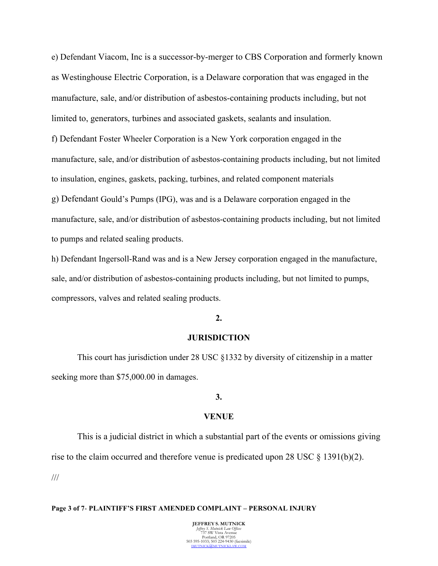e) Defendant Viacom, Inc is a successor-by-merger to CBS Corporation and formerly known as Westinghouse Electric Corporation, is a Delaware corporation that was engaged in the manufacture, sale, and/or distribution of asbestos-containing products including, but not limited to, generators, turbines and associated gaskets, sealants and insulation. f) Defendant Foster Wheeler Corporation is a New York corporation engaged in the manufacture, sale, and/or distribution of asbestos-containing products including, but not limited

to insulation, engines, gaskets, packing, turbines, and related component materials

g) Defendant Gould's Pumps (IPG), was and is a Delaware corporation engaged in the manufacture, sale, and/or distribution of asbestos-containing products including, but not limited to pumps and related sealing products.

h) Defendant Ingersoll-Rand was and is a New Jersey corporation engaged in the manufacture, sale, and/or distribution of asbestos-containing products including, but not limited to pumps, compressors, valves and related sealing products.

## **2.**

## **JURISDICTION**

This court has jurisdiction under 28 USC §1332 by diversity of citizenship in a matter seeking more than \$75,000.00 in damages.

# **3.**

## **VENUE**

This is a judicial district in which a substantial part of the events or omissions giving rise to the claim occurred and therefore venue is predicated upon 28 USC § 1391(b)(2). ///

# **Page 3 of 7**- **PLAINTIFF'S FIRST AMENDED COMPLAINT – PERSONAL INJURY**

**JEFFREY S. MUTNICK** *Jeffrey S. Mutnick Law Offices* 737 SW Vista Avenue Portland, OR 97205 503 595-1033; 503 224-9430 (facsimile) JMUTNICK@MUTNICKLAW.COM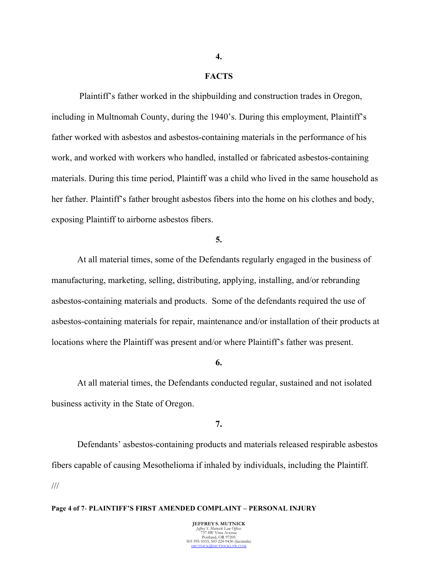### **FACTS**

Plaintiff's father worked in the shipbuilding and construction trades in Oregon, including in Multnomah County, during the 1940's. During this employment, Plaintiff's father worked with asbestos and asbestos-containing materials in the performance of his work, and worked with workers who handled, installed or fabricated asbestos-containing materials. During this time period, Plaintiff was a child who lived in the same household as her father. Plaintiff's father brought asbestos fibers into the home on his clothes and body, exposing Plaintiff to airborne asbestos fibers.

#### **5.**

At all material times, some of the Defendants regularly engaged in the business of manufacturing, marketing, selling, distributing, applying, installing, and/or rebranding asbestos-containing materials and products. Some of the defendants required the use of asbestos-containing materials for repair, maintenance and/or installation of their products at locations where the Plaintiff was present and/or where Plaintiff's father was present.

### **6.**

At all material times, the Defendants conducted regular, sustained and not isolated business activity in the State of Oregon.

**7.**

Defendants' asbestos-containing products and materials released respirable asbestos fibers capable of causing Mesothelioma if inhaled by individuals, including the Plaintiff. ///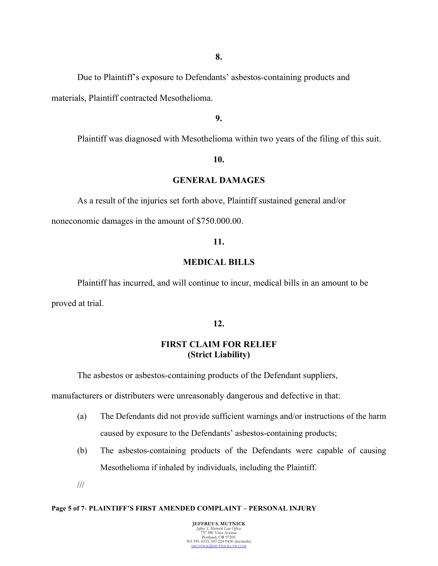Due to Plaintiff's exposure to Defendants' asbestos-containing products and materials, Plaintiff contracted Mesothelioma.

**9.**

Plaintiff was diagnosed with Mesothelioma within two years of the filing of this suit.

#### **10.**

#### **GENERAL DAMAGES**

As a result of the injuries set forth above, Plaintiff sustained general and/or

noneconomic damages in the amount of \$750.000.00.

### **11.**

## **MEDICAL BILLS**

Plaintiff has incurred, and will continue to incur, medical bills in an amount to be proved at trial.

## **12.**

# **FIRST CLAIM FOR RELIEF (Strict Liability)**

The asbestos or asbestos-containing products of the Defendant suppliers,

manufacturers or distributers were unreasonably dangerous and defective in that:

- (a) The Defendants did not provide sufficient warnings and/or instructions of the harm caused by exposure to the Defendants' asbestos-containing products;
- (b) The asbestos-containing products of the Defendants were capable of causing Mesothelioma if inhaled by individuals, including the Plaintiff.
- ///

#### **Page 5 of 7**- **PLAINTIFF'S FIRST AMENDED COMPLAINT – PERSONAL INJURY**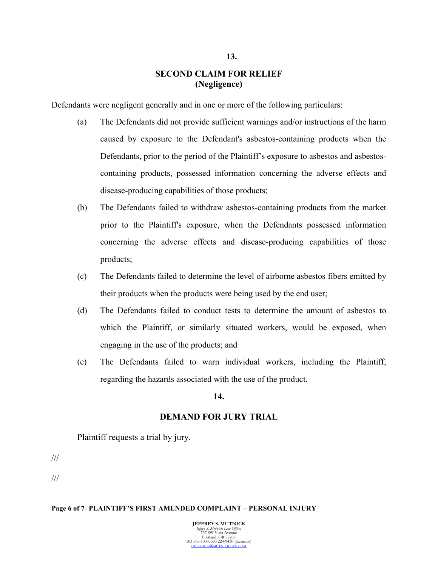# **SECOND CLAIM FOR RELIEF (Negligence)**

Defendants were negligent generally and in one or more of the following particulars:

- (a) The Defendants did not provide sufficient warnings and/or instructions of the harm caused by exposure to the Defendant's asbestos-containing products when the Defendants, prior to the period of the Plaintiff's exposure to asbestos and asbestoscontaining products, possessed information concerning the adverse effects and disease-producing capabilities of those products;
- (b) The Defendants failed to withdraw asbestos-containing products from the market prior to the Plaintiff's exposure, when the Defendants possessed information concerning the adverse effects and disease-producing capabilities of those products;
- (c) The Defendants failed to determine the level of airborne asbestos fibers emitted by their products when the products were being used by the end user;
- (d) The Defendants failed to conduct tests to determine the amount of asbestos to which the Plaintiff, or similarly situated workers, would be exposed, when engaging in the use of the products; and
- (e) The Defendants failed to warn individual workers, including the Plaintiff, regarding the hazards associated with the use of the product.

#### **14.**

## **DEMAND FOR JURY TRIAL**

Plaintiff requests a trial by jury.

///

///

#### **Page 6 of 7**- **PLAINTIFF'S FIRST AMENDED COMPLAINT – PERSONAL INJURY**